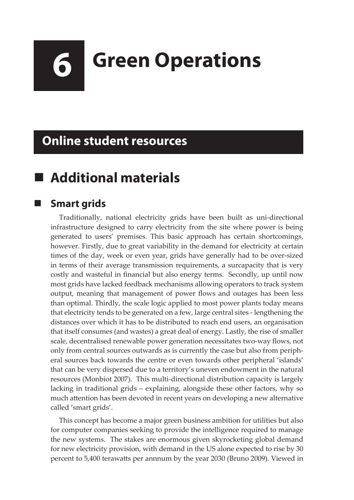# **6 Green Operations**

## **Online student resources**

# **Additional materials**

#### **Smart grids**

Traditionally, national electricity grids have been built as uni-directional infrastructure designed to carry electricity from the site where power is being generated to users' premises. This basic approach has certain shortcomings, however. Firstly, due to great variability in the demand for electricity at certain times of the day, week or even year, grids have generally had to be over-sized in terms of their average transmission requirements, a surcapacity that is very costly and wasteful in financial but also energy terms. Secondly, up until now most grids have lacked feedback mechanisms allowing operators to track system output, meaning that management of power flows and outages has been less than optimal. Thirdly, the scale logic applied to most power plants today means that electricity tends to be generated on a few, large central sites - lengthening the distances over which it has to be distributed to reach end users, an organisation that itself consumes (and wastes) a great deal of energy. Lastly, the rise of smaller scale, decentralised renewable power generation necessitates two-way flows, not only from central sources outwards as is currently the case but also from peripheral sources back towards the centre or even towards other peripheral 'islands' that can be very dispersed due to a territory's uneven endowment in the natural resources (Monbiot 2007). This multi-directional distribution capacity is largely lacking in traditional grids – explaining, alongside these other factors, why so much attention has been devoted in recent years on developing a new alternative called 'smart grids'.

This concept has become a major green business ambition for utilities but also for computer companies seeking to provide the intelligence required to manage the new systems. The stakes are enormous given skyrocketing global demand for new electricity provision, with demand in the US alone expected to rise by 30 percent to 5,400 terawatts per annnum by the year 2030 (Bruno 2009). Viewed in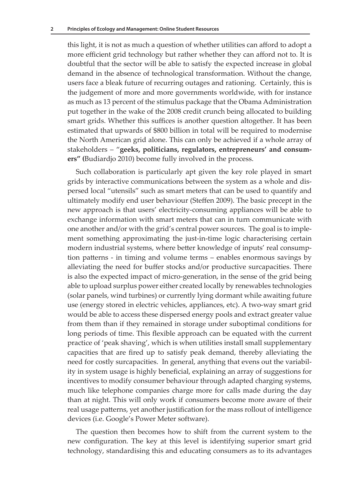this light, it is not as much a question of whether utilities can afford to adopt a more efficient grid technology but rather whether they can afford not to. It is doubtful that the sector will be able to satisfy the expected increase in global demand in the absence of technological transformation. Without the change, users face a bleak future of recurring outages and rationing. Certainly, this is the judgement of more and more governments worldwide, with for instance as much as 13 percent of the stimulus package that the Obama Administration put together in the wake of the 2008 credit crunch being allocated to building smart grids. Whether this suffices is another question altogether. It has been estimated that upwards of \$800 billion in total will be required to modernise the North American grid alone. This can only be achieved if a whole array of stakeholders – "**geeks, politicians, regulators, entrepreneurs' and consumers" (**Budiardjo 2010) become fully involved in the process.

Such collaboration is particularly apt given the key role played in smart grids by interactive communications between the system as a whole and dispersed local "utensils" such as smart meters that can be used to quantify and ultimately modify end user behaviour (Steffen 2009). The basic precept in the new approach is that users' electricity-consuming appliances will be able to exchange information with smart meters that can in turn communicate with one another and/or with the grid's central power sources. The goal is to implement something approximating the just-in-time logic characterising certain modern industrial systems, where better knowledge of inputs' real consumption patterns - in timing and volume terms – enables enormous savings by alleviating the need for buffer stocks and/or productive surcapacities. There is also the expected impact of micro-generation, in the sense of the grid being able to upload surplus power either created locally by renewables technologies (solar panels, wind turbines) or currently lying dormant while awaiting future use (energy stored in electric vehicles, appliances, etc). A two-way smart grid would be able to access these dispersed energy pools and extract greater value from them than if they remained in storage under suboptimal conditions for long periods of time. This flexible approach can be equated with the current practice of 'peak shaving', which is when utilities install small supplementary capacities that are fired up to satisfy peak demand, thereby alleviating the need for costly surcapacities. In general, anything that evens out the variability in system usage is highly beneficial, explaining an array of suggestions for incentives to modify consumer behaviour through adapted charging systems, much like telephone companies charge more for calls made during the day than at night. This will only work if consumers become more aware of their real usage patterns, yet another justification for the mass rollout of intelligence devices (i.e. Google's Power Meter software).

The question then becomes how to shift from the current system to the new configuration. The key at this level is identifying superior smart grid technology, standardising this and educating consumers as to its advantages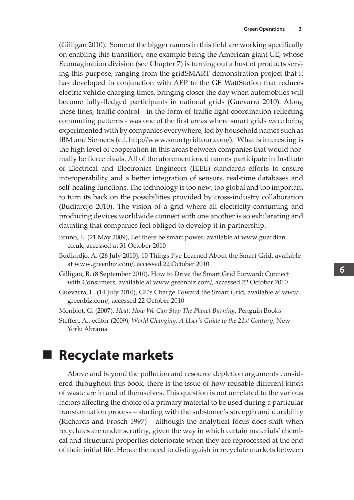(Gilligan 2010). Some of the bigger names in this field are working specifically on enabling this transition, one example being the American giant GE, whose Ecomagination division (see Chapter 7) is turning out a host of products serving this purpose, ranging from the gridSMART demonstration project that it has developed in conjunction with AEP to the GE WattStation that reduces electric vehicle charging times, bringing closer the day when automobiles will become fully-fledged participants in national grids (Guevarra 2010). Along these lines, traffic control - in the form of traffic light coordination reflecting commuting patterns - was one of the first areas where smart grids were being experimented with by companies everywhere, led by household names such as IBM and Siemens (c.f. http://www.smartgridtour.com/). What is interesting is the high level of cooperation in this areas between companies that would normally be fierce rivals. All of the aforementioned names participate in Institute of Electrical and Electronics Engineers (IEEE) standards efforts to ensure interoperability and a better integration of sensors, real-time databases and self-healing functions. The technology is too new, too global and too important to turn its back on the possibilities provided by cross-industry collaboration (Budiardjo 2010). The vision of a grid where all electricity-consuming and producing devices worldwide connect with one another is so exhilarating and daunting that companies feel obliged to develop it in partnership.

- Bruno, L. (21 May 2009), Let there be smart power, available at www.guardian. co.uk, accessed at 31 October 2010
- Budiardjo, A. (26 July 2010), 10 Things I've Learned About the Smart Grid, available at www.greenbiz.com/, accessed 22 October 2010
- Gilligan, B. (8 September 2010), How to Drive the Smart Grid Forward: Connect with Consumers, available at www.greenbiz.com/, accessed 22 October 2010
- Guevarra, L. (14 July 2010), GE's Charge Toward the Smart Grid, available at www. greenbiz.com/, accessed 22 October 2010

Monbiot, G. (2007), *Heat: How We Can Stop The Planet Burning*, Penguin Books

Steffen, A., editor (2009), *World Changing: A User's Guide to the 21st Century*, New York: Abrams

#### **Recyclate markets**

Above and beyond the pollution and resource depletion arguments considered throughout this book, there is the issue of how reusable different kinds of waste are in and of themselves. This question is not unrelated to the various factors affecting the choice of a primary material to be used during a particular transformation process – starting with the substance's strength and durability (Richards and Frosch 1997) – although the analytical focus does shift when recyclates are under scrutiny, given the way in which certain materials' chemical and structural properties deteriorate when they are reprocessed at the end of their initial life. Hence the need to distinguish in recyclate markets between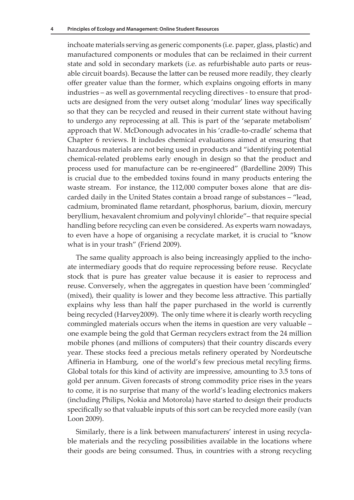inchoate materials serving as generic components (i.e. paper, glass, plastic) and manufactured components or modules that can be reclaimed in their current state and sold in secondary markets (i.e. as refurbishable auto parts or reusable circuit boards). Because the latter can be reused more readily, they clearly offer greater value than the former, which explains ongoing efforts in many industries – as well as governmental recycling directives - to ensure that products are designed from the very outset along 'modular' lines way specifically so that they can be recycled and reused in their current state without having to undergo any reprocessing at all. This is part of the 'separate metabolism' approach that W. McDonough advocates in his 'cradle-to-cradle' schema that Chapter 6 reviews. It includes chemical evaluations aimed at ensuring that hazardous materials are not being used in products and "identifying potential chemical-related problems early enough in design so that the product and process used for manufacture can be re-engineered" (Bardelline 2009) This is crucial due to the embedded toxins found in many products entering the waste stream. For instance, the 112,000 computer boxes alone that are discarded daily in the United States contain a broad range of substances – "lead, cadmium, brominated flame retardant, phosphorus, barium, dioxin, mercury beryllium, hexavalent chromium and polyvinyl chloride"– that require special handling before recycling can even be considered. As experts warn nowadays, to even have a hope of organising a recyclate market, it is crucial to "know what is in your trash" (Friend 2009).

The same quality approach is also being increasingly applied to the inchoate intermediary goods that do require reprocessing before reuse. Recyclate stock that is pure has greater value because it is easier to reprocess and reuse. Conversely, when the aggregates in question have been 'commingled' (mixed), their quality is lower and they become less attractive. This partially explains why less than half the paper purchased in the world is currently being recycled (Harvey2009). The only time where it is clearly worth recycling commingled materials occurs when the items in question are very valuable – one example being the gold that German recyclers extract from the 24 million mobile phones (and millions of computers) that their country discards every year. These stocks feed a precious metals refinery operated by Nordeutsche Affineria in Hamburg, one of the world's few precious metal recyling firms. Global totals for this kind of activity are impressive, amounting to 3.5 tons of gold per annum. Given forecasts of strong commodity price rises in the years to come, it is no surprise that many of the world's leading electronics makers (including Philips, Nokia and Motorola) have started to design their products specifically so that valuable inputs of this sort can be recycled more easily (van Loon 2009).

Similarly, there is a link between manufacturers' interest in using recyclable materials and the recycling possibilities available in the locations where their goods are being consumed. Thus, in countries with a strong recycling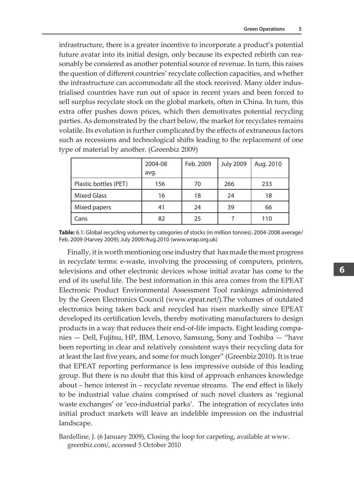infrastructure, there is a greater incentive to incorporate a product's potential future avatar into its initial design, only because its expected rebirth can reasonably be consiered as another potential source of revenue. In turn, this raises the question of different countries' recyclate collection capacities, and whether the infrastructure can accommodate all the stock received. Many older industrialised countries have run out of space in recent years and been forced to sell surplus recyclate stock on the global markets, often in China. In turn, this extra offer pushes down prices, which then demotivates potential recycling parties. As demonstrated by the chart below, the market for recyclates remains volatile. Its evolution is further complicated by the effects of extraneous factors such as recessions and technological shifts leading to the replacement of one type of material by another. (Greenbiz 2009)

|                       | 2004-08 | Feb. 2009 | <b>July 2009</b> | Aug. 2010 |
|-----------------------|---------|-----------|------------------|-----------|
|                       | avq.    |           |                  |           |
| Plastic bottles (PET) | 156     | 70        | 266              | 233       |
| <b>Mixed Glass</b>    | 16      | 18        | 24               | 18        |
| Mixed papers          | 41      | 24        | 39               | 66        |
| Cans                  | 82      | 25        |                  | 110       |

**Table:** 6.1: Global recycling volumes by categories of stocks (in million tonnes). 2004-2008 average/ Feb. 2009 (Harvey 2009); July 2009/Aug.2010 (www.wrap.org.uk)

Finally, it is worth mentioning one industry that has made the most progress in recyclate terms: e-waste, involving the processing of computers, printers, televisions and other electronic devices whose initial avatar has come to the end of its useful life. The best information in this area comes from the EPEAT Electronic Product Environmental Assessment Tool rankings administered by the Green Electronics Council (www.epeat.net/).The volumes of outdated electronics being taken back and recycled has risen markedly since EPEAT developed its certification levels, thereby motivating manufacturers to design products in a way that reduces their end-of-life impacts. Eight leading companies — Dell, Fujitsu, HP, IBM, Lenovo, Samsung, Sony and Toshiba — "have been reporting in clear and relatively consistent ways their recycling data for at least the last five years, and some for much longer" (Greenbiz 2010). It is true that EPEAT reporting performance is less impressive outside of this leading group. But there is no doubt that this kind of approach enhances knowledge about – hence interest in – recyclate revenue streams. The end effect is likely to be industrial value chains comprised of such novel clusters as 'regional waste exchanges' or 'eco-industrial parks'. The integration of recyclates into initial product markets will leave an indelible impression on the industrial landscape.

Bardelline, J. (6 January 2009), Closing the loop for carpeting, available at www. greenbiz.com/, accessed 5 October 2010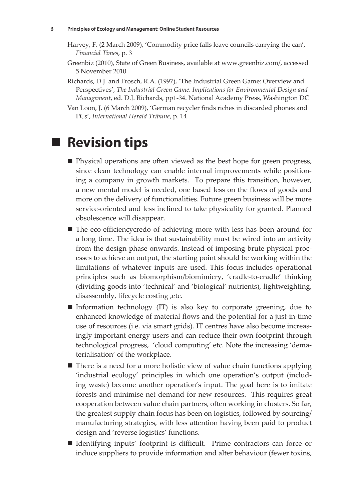- Harvey, F. (2 March 2009), 'Commodity price falls leave councils carrying the can', *Financial Times*, p. 3
- Greenbiz (2010), State of Green Business, available at www.greenbiz.com/, accessed 5 November 2010
- Richards, D.J. and Frosch, R.A. (1997), 'The Industrial Green Game: Overview and Perspectives', *The Industrial Green Game. Implications for Environmental Design and Management*, ed. D.J. Richards, pp1-34. National Academy Press, Washington DC
- Van Loon, J. (6 March 2009), 'German recycler finds riches in discarded phones and PCs', *International Herald Tribune*, p. 14

## **Revision tips**

- Physical operations are often viewed as the best hope for green progress, since clean technology can enable internal improvements while positioning a company in growth markets. To prepare this transition, however, a new mental model is needed, one based less on the flows of goods and more on the delivery of functionalities. Future green business will be more service-oriented and less inclined to take physicality for granted. Planned obsolescence will disappear.
- The eco-efficiencycredo of achieving more with less has been around for a long time. The idea is that sustainability must be wired into an activity from the design phase onwards. Instead of imposing brute physical processes to achieve an output, the starting point should be working within the limitations of whatever inputs are used. This focus includes operational principles such as biomorphism/biomimicry, 'cradle-to-cradle' thinking (dividing goods into 'technical' and 'biological' nutrients), lightweighting, disassembly, lifecycle costing ,etc.
- Information technology  $(IT)$  is also key to corporate greening, due to enhanced knowledge of material flows and the potential for a just-in-time use of resources (i.e. via smart grids). IT centres have also become increasingly important energy users and can reduce their own footprint through technological progress, 'cloud computing' etc. Note the increasing 'dematerialisation' of the workplace.
- There is a need for a more holistic view of value chain functions applying 'industrial ecology' principles in which one operation's output (including waste) become another operation's input. The goal here is to imitate forests and minimise net demand for new resources. This requires great cooperation between value chain partners, often working in clusters. So far, the greatest supply chain focus has been on logistics, followed by sourcing/ manufacturing strategies, with less attention having been paid to product design and 'reverse logistics' functions.
- Identifying inputs' footprint is difficult. Prime contractors can force or induce suppliers to provide information and alter behaviour (fewer toxins,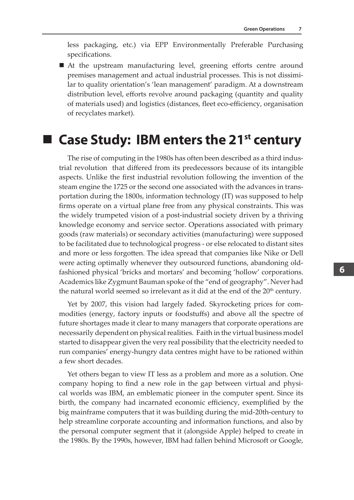less packaging, etc.) via EPP Environmentally Preferable Purchasing specifications.

■ At the upstream manufacturing level, greening efforts centre around premises management and actual industrial processes. This is not dissimilar to quality orientation's 'lean management' paradigm. At a downstream distribution level, efforts revolve around packaging (quantity and quality of materials used) and logistics (distances, fleet eco-efficiency, organisation of recyclates market).

#### **Case Study: IBM enters the 21st century**

The rise of computing in the 1980s has often been described as a third industrial revolution that differed from its predecessors because of its intangible aspects. Unlike the first industrial revolution following the invention of the steam engine the 1725 or the second one associated with the advances in transportation during the 1800s, information technology (IT) was supposed to help firms operate on a virtual plane free from any physical constraints. This was the widely trumpeted vision of a post-industrial society driven by a thriving knowledge economy and service sector. Operations associated with primary goods (raw materials) or secondary activities (manufacturing) were supposed to be facilitated due to technological progress - or else relocated to distant sites and more or less forgotten. The idea spread that companies like Nike or Dell were acting optimally whenever they outsourced functions, abandoning oldfashioned physical 'bricks and mortars' and becoming 'hollow' corporations. Academics like Zygmunt Bauman spoke of the "end of geography". Never had the natural world seemed so irrelevant as it did at the end of the  $20<sup>th</sup>$  century.

Yet by 2007, this vision had largely faded. Skyrocketing prices for commodities (energy, factory inputs or foodstuffs) and above all the spectre of future shortages made it clear to many managers that corporate operations are necessarily dependent on physical realities. Faith in the virtual business model started to disappear given the very real possibility that the electricity needed to run companies' energy-hungry data centres might have to be rationed within a few short decades.

Yet others began to view IT less as a problem and more as a solution. One company hoping to find a new role in the gap between virtual and physical worlds was IBM, an emblematic pioneer in the computer spent. Since its birth, the company had incarnated economic efficiency, exemplified by the big mainframe computers that it was building during the mid-20th-century to help streamline corporate accounting and information functions, and also by the personal computer segment that it (alongside Apple) helped to create in the 1980s. By the 1990s, however, IBM had fallen behind Microsoft or Google,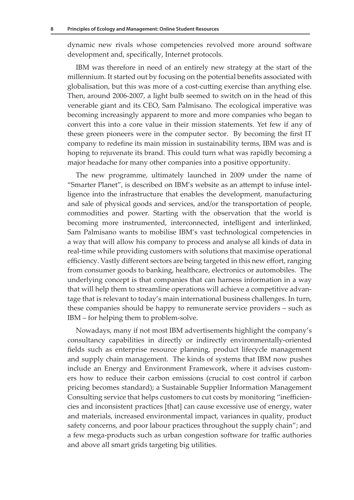dynamic new rivals whose competencies revolved more around software development and, specifically, Internet protocols.

IBM was therefore in need of an entirely new strategy at the start of the millennium. It started out by focusing on the potential benefits associated with globalisation, but this was more of a cost-cutting exercise than anything else. Then, around 2006-2007, a light bulb seemed to switch on in the head of this venerable giant and its CEO, Sam Palmisano. The ecological imperative was becoming increasingly apparent to more and more companies who began to convert this into a core value in their mission statements. Yet few if any of these green pioneers were in the computer sector. By becoming the first IT company to redefine its main mission in sustainability terms, IBM was and is hoping to rejuvenate its brand. This could turn what was rapidly becoming a major headache for many other companies into a positive opportunity.

The new programme, ultimately launched in 2009 under the name of "Smarter Planet", is described on IBM's website as an attempt to infuse intelligence into the infrastructure that enables the development, manufacturing and sale of physical goods and services, and/or the transportation of people, commodities and power. Starting with the observation that the world is becoming more instrumented, interconnected, intelligent and interlinked, Sam Palmisano wants to mobilise IBM's vast technological competencies in a way that will allow his company to process and analyse all kinds of data in real-time while providing customers with solutions that maximise operational efficiency. Vastly different sectors are being targeted in this new effort, ranging from consumer goods to banking, healthcare, electronics or automobiles. The underlying concept is that companies that can harness information in a way that will help them to streamline operations will achieve a competitive advantage that is relevant to today's main international business challenges. In turn, these companies should be happy to remunerate service providers – such as IBM – for helping them to problem-solve.

Nowadays, many if not most IBM advertisements highlight the company's consultancy capabilities in directly or indirectly environmentally-oriented fields such as enterprise resource planning, product lifecycle management and supply chain management. The kinds of systems that IBM now pushes include an Energy and Environment Framework, where it advises customers how to reduce their carbon emissions (crucial to cost control if carbon pricing becomes standard); a Sustainable Supplier Information Management Consulting service that helps customers to cut costs by monitoring "inefficiencies and inconsistent practices [that] can cause excessive use of energy, water and materials, increased environmental impact, variances in quality, product safety concerns, and poor labour practices throughout the supply chain"; and a few mega-products such as urban congestion software for traffic authories and above all smart grids targeting big utilities.